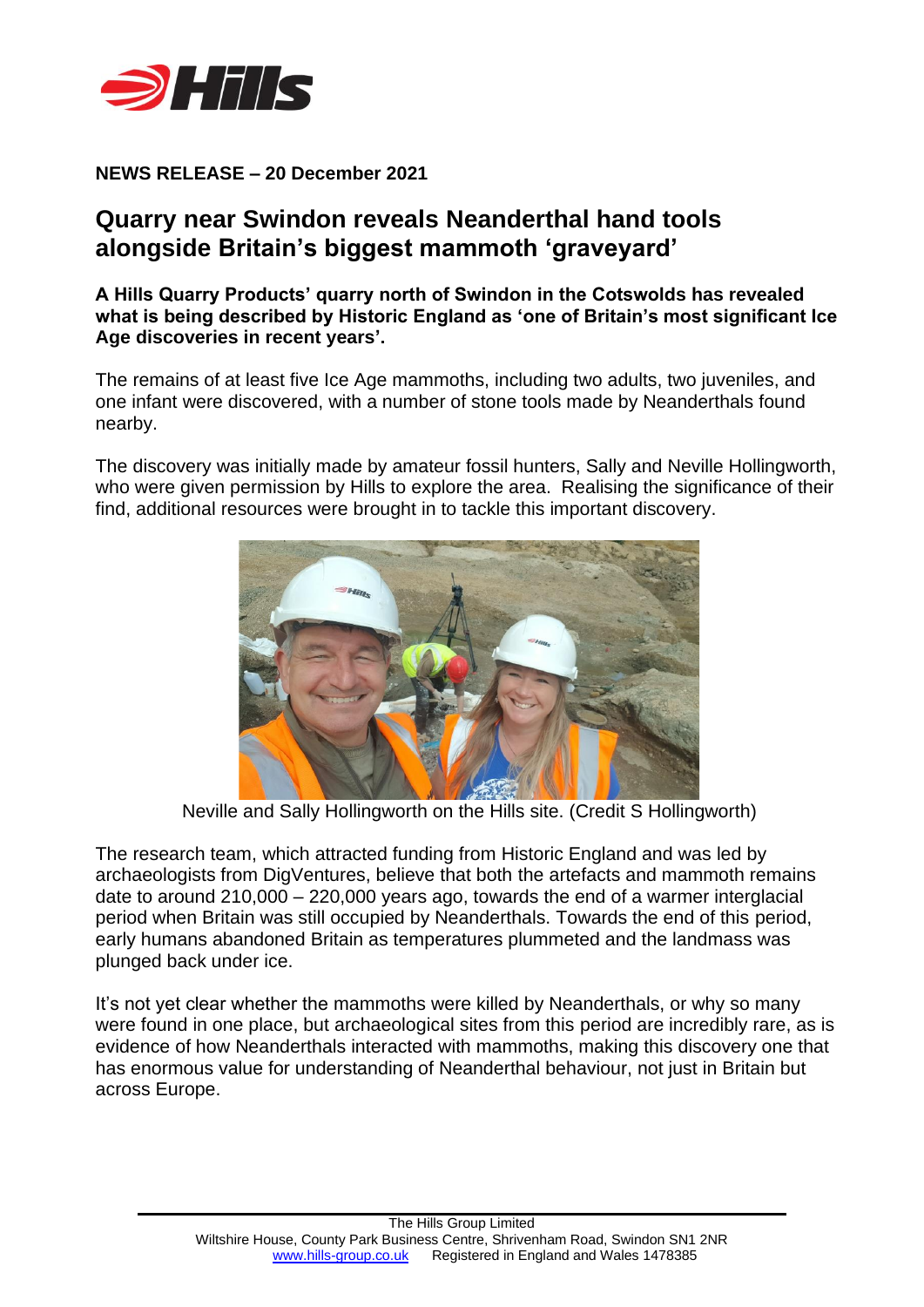

## **NEWS RELEASE – 20 December 2021**

# **Quarry near Swindon reveals Neanderthal hand tools alongside Britain's biggest mammoth 'graveyard'**

**A Hills Quarry Products' quarry north of Swindon in the Cotswolds has revealed what is being described by Historic England as 'one of Britain's most significant Ice Age discoveries in recent years'.**

The remains of at least five Ice Age mammoths, including two adults, two juveniles, and one infant were discovered, with a number of stone tools made by Neanderthals found nearby.

The discovery was initially made by amateur fossil hunters, Sally and Neville Hollingworth, who were given permission by Hills to explore the area. Realising the significance of their find, additional resources were brought in to tackle this important discovery.



Neville and Sally Hollingworth on the Hills site. (Credit S Hollingworth)

The research team, which attracted funding from Historic England and was led by archaeologists from DigVentures, believe that both the artefacts and mammoth remains date to around 210,000 – 220,000 years ago, towards the end of a warmer interglacial period when Britain was still occupied by Neanderthals. Towards the end of this period, early humans abandoned Britain as temperatures plummeted and the landmass was plunged back under ice.

It's not yet clear whether the mammoths were killed by Neanderthals, or why so many were found in one place, but archaeological sites from this period are incredibly rare, as is evidence of how Neanderthals interacted with mammoths, making this discovery one that has enormous value for understanding of Neanderthal behaviour, not just in Britain but across Europe.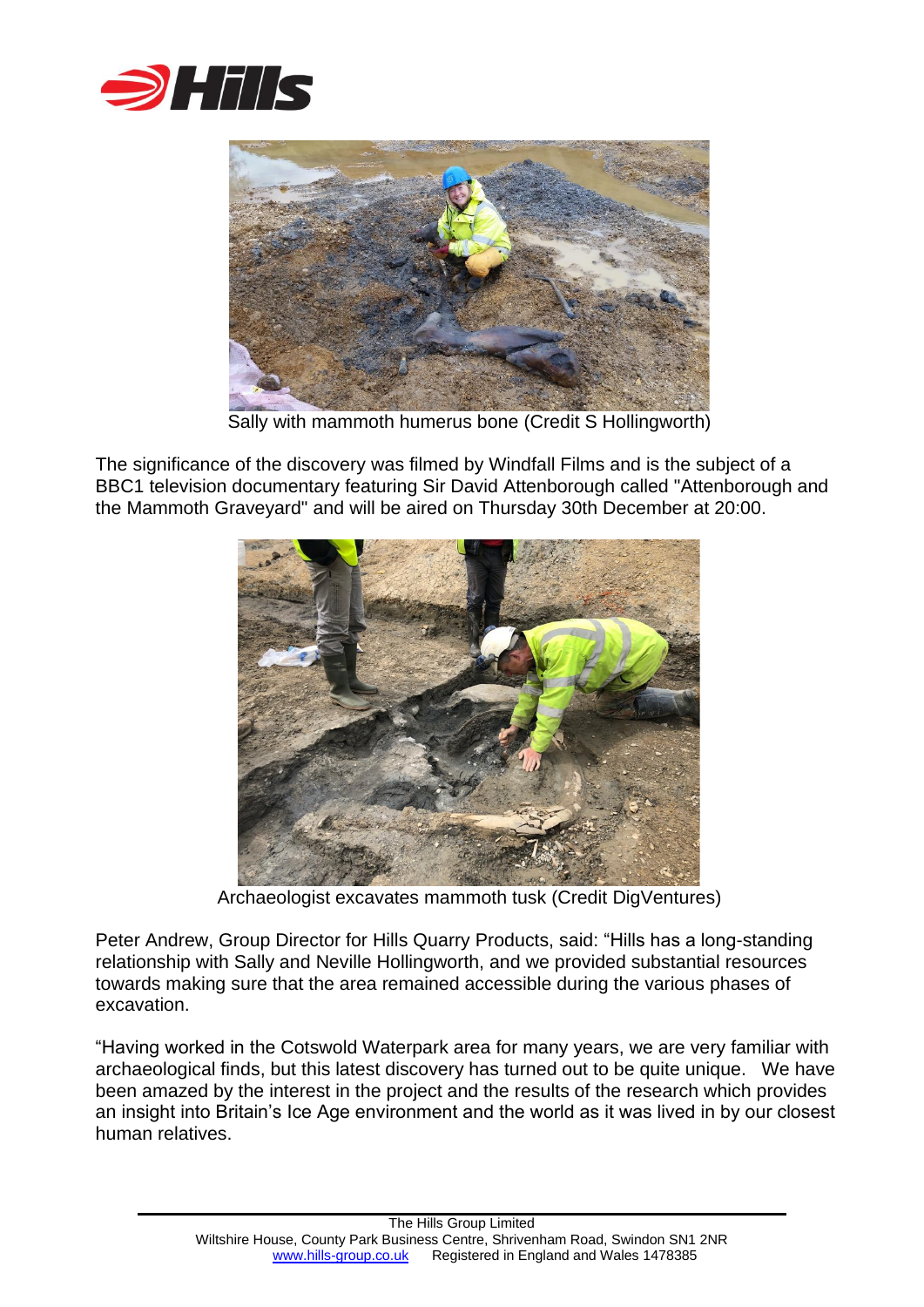



Sally with mammoth humerus bone (Credit S Hollingworth)

The significance of the discovery was filmed by Windfall Films and is the subject of a BBC1 television documentary featuring Sir David Attenborough called "Attenborough and the Mammoth Graveyard" and will be aired on Thursday 30th December at 20:00.



Archaeologist excavates mammoth tusk (Credit DigVentures)

Peter Andrew, Group Director for Hills Quarry Products, said: "Hills has a long-standing relationship with Sally and Neville Hollingworth, and we provided substantial resources towards making sure that the area remained accessible during the various phases of excavation.

"Having worked in the Cotswold Waterpark area for many years, we are very familiar with archaeological finds, but this latest discovery has turned out to be quite unique. We have been amazed by the interest in the project and the results of the research which provides an insight into Britain's Ice Age environment and the world as it was lived in by our closest human relatives.